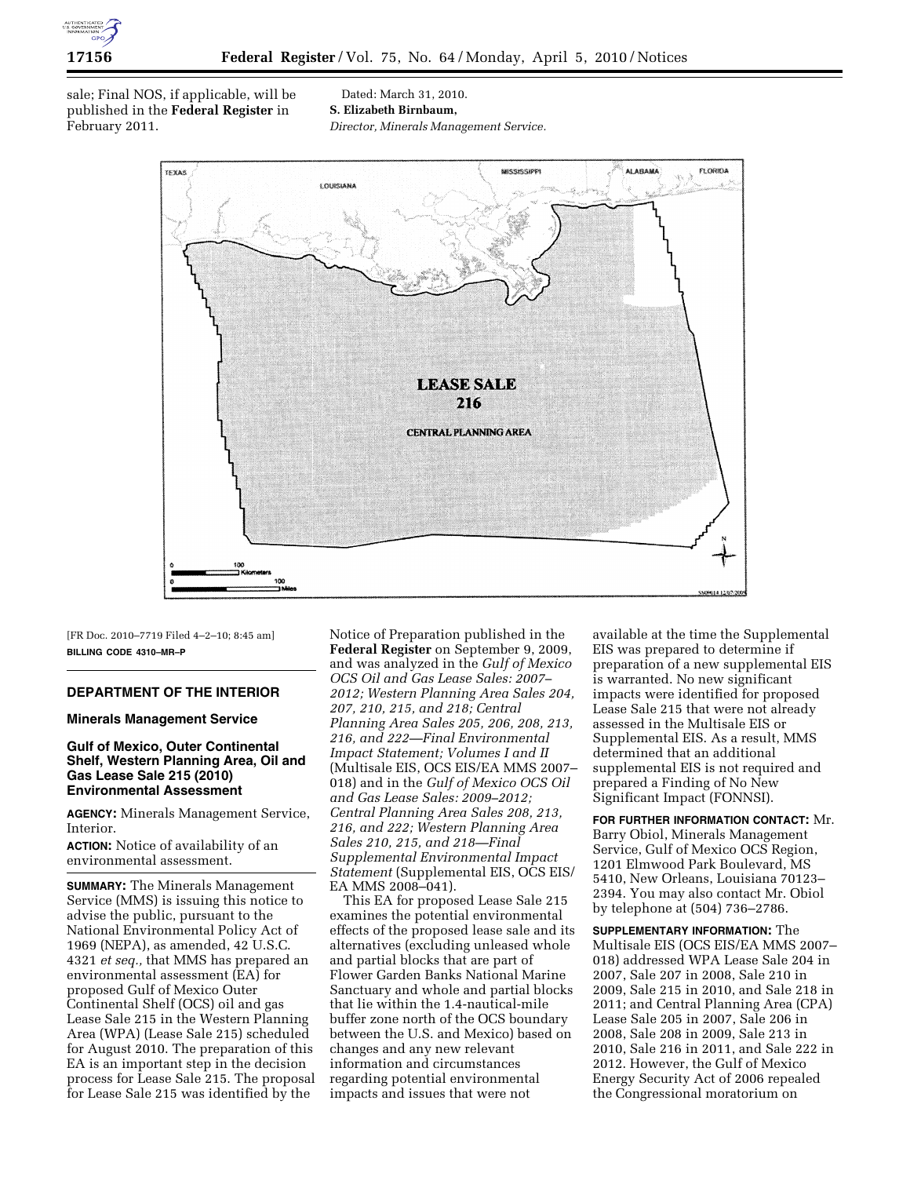

sale; Final NOS, if applicable, will be published in the **Federal Register** in February 2011.

Dated: March 31, 2010. **S. Elizabeth Birnbaum,**  *Director, Minerals Management Service.* 



[FR Doc. 2010–7719 Filed 4–2–10; 8:45 am] **BILLING CODE 4310–MR–P** 

# **DEPARTMENT OF THE INTERIOR**

### **Minerals Management Service**

## **Gulf of Mexico, Outer Continental Shelf, Western Planning Area, Oil and Gas Lease Sale 215 (2010) Environmental Assessment**

**AGENCY:** Minerals Management Service, Interior.

**ACTION:** Notice of availability of an environmental assessment.

**SUMMARY:** The Minerals Management Service (MMS) is issuing this notice to advise the public, pursuant to the National Environmental Policy Act of 1969 (NEPA), as amended, 42 U.S.C. 4321 *et seq.,* that MMS has prepared an environmental assessment (EA) for proposed Gulf of Mexico Outer Continental Shelf (OCS) oil and gas Lease Sale 215 in the Western Planning Area (WPA) (Lease Sale 215) scheduled for August 2010. The preparation of this EA is an important step in the decision process for Lease Sale 215. The proposal for Lease Sale 215 was identified by the

Notice of Preparation published in the **Federal Register** on September 9, 2009, and was analyzed in the *Gulf of Mexico OCS Oil and Gas Lease Sales: 2007– 2012; Western Planning Area Sales 204, 207, 210, 215, and 218; Central Planning Area Sales 205, 206, 208, 213, 216, and 222—Final Environmental Impact Statement; Volumes I and II*  (Multisale EIS, OCS EIS/EA MMS 2007– 018) and in the *Gulf of Mexico OCS Oil and Gas Lease Sales: 2009–2012; Central Planning Area Sales 208, 213, 216, and 222; Western Planning Area Sales 210, 215, and 218—Final Supplemental Environmental Impact Statement* (Supplemental EIS, OCS EIS/ EA MMS 2008–041).

This EA for proposed Lease Sale 215 examines the potential environmental effects of the proposed lease sale and its alternatives (excluding unleased whole and partial blocks that are part of Flower Garden Banks National Marine Sanctuary and whole and partial blocks that lie within the 1.4-nautical-mile buffer zone north of the OCS boundary between the U.S. and Mexico) based on changes and any new relevant information and circumstances regarding potential environmental impacts and issues that were not

available at the time the Supplemental EIS was prepared to determine if preparation of a new supplemental EIS is warranted. No new significant impacts were identified for proposed Lease Sale 215 that were not already assessed in the Multisale EIS or Supplemental EIS. As a result, MMS determined that an additional supplemental EIS is not required and prepared a Finding of No New Significant Impact (FONNSI).

**FOR FURTHER INFORMATION CONTACT:** Mr. Barry Obiol, Minerals Management Service, Gulf of Mexico OCS Region, 1201 Elmwood Park Boulevard, MS 5410, New Orleans, Louisiana 70123– 2394. You may also contact Mr. Obiol by telephone at (504) 736–2786.

**SUPPLEMENTARY INFORMATION:** The Multisale EIS (OCS EIS/EA MMS 2007– 018) addressed WPA Lease Sale 204 in 2007, Sale 207 in 2008, Sale 210 in 2009, Sale 215 in 2010, and Sale 218 in 2011; and Central Planning Area (CPA) Lease Sale 205 in 2007, Sale 206 in 2008, Sale 208 in 2009, Sale 213 in 2010, Sale 216 in 2011, and Sale 222 in 2012. However, the Gulf of Mexico Energy Security Act of 2006 repealed the Congressional moratorium on